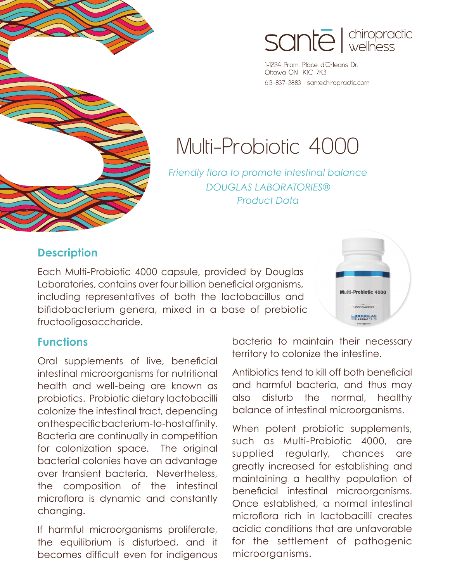

# sante direpractic

1-1224 Prom. Place d'Orleans Dr. Ottawa ON K1C 7K3 613-837-2883 | santechiropractic.com

# Multi-Probiotic 4000

*Friendly flora to promote intestinal balance DOUGLAS LABORATORIES® Product Data*

#### **Description**

Each Multi-Probiotic 4000 capsule, provided by Douglas Laboratories, contains over four billion beneficial organisms, including representatives of both the lactobacillus and bifidobacterium genera, mixed in a base of prebiotic fructooligosaccharide.



#### **Functions**

Oral supplements of live, beneficial intestinal microorganisms for nutritional health and well-being are known as probiotics. Probiotic dietary lactobacilli colonize the intestinal tract, depending on the specific bacterium-to-host affinity. Bacteria are continually in competition for colonization space. The original bacterial colonies have an advantage over transient bacteria. Nevertheless, the composition of the intestinal microflora is dynamic and constantly changing.

If harmful microorganisms proliferate, the equilibrium is disturbed, and it becomes difficult even for indigenous bacteria to maintain their necessary territory to colonize the intestine.

Antibiotics tend to kill off both beneficial and harmful bacteria, and thus may also disturb the normal, healthy balance of intestinal microorganisms.

When potent probiotic supplements, such as Multi-Probiotic 4000, are supplied regularly, chances are greatly increased for establishing and maintaining a healthy population of beneficial intestinal microorganisms. Once established, a normal intestinal microflora rich in lactobacilli creates acidic conditions that are unfavorable for the settlement of pathogenic microorganisms.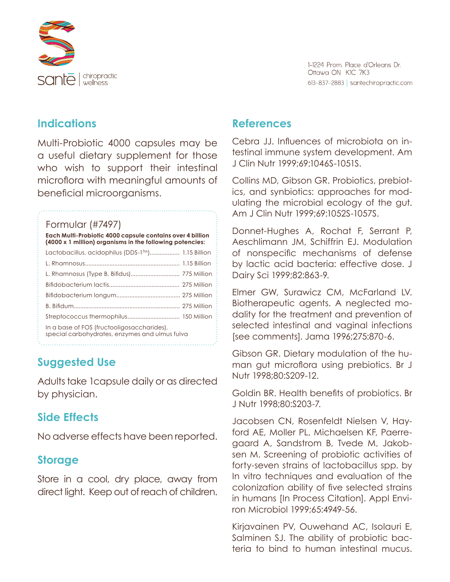

#### **Indications**

Multi-Probiotic 4000 capsules may be a useful dietary supplement for those who wish to support their intestinal microflora with meaningful amounts of beneficial microorganisms.

#### Formular (#7497)

**Each Multi-Probiotic 4000 capsule contains over 4 billion (4000 x 1 million) organisms in the following potencies:**

| Lactobacillus. acidophilus (DDS-1™) 1.15 Billion                                             |
|----------------------------------------------------------------------------------------------|
|                                                                                              |
| L. Rhamnosus (Type B, Bifidus) 775 Million                                                   |
|                                                                                              |
|                                                                                              |
|                                                                                              |
|                                                                                              |
| In a base of FOS (fructooligosaccharides),<br>special carbohydrates, enzymes and ulmus fulva |
|                                                                                              |

## **Suggested Use**

Adults take 1capsule daily or as directed by physician.

## **Side Effects**

No adverse effects have been reported.

#### **Storage**

Store in a cool, dry place, away from direct light. Keep out of reach of children.

#### **References**

Cebra JJ. Influences of microbiota on intestinal immune system development. Am J Clin Nutr 1999;69:1046S-1051S.

Collins MD, Gibson GR. Probiotics, prebiotics, and synbiotics: approaches for modulating the microbial ecology of the gut. Am J Clin Nutr 1999;69:1052S-1057S.

Donnet-Hughes A, Rochat F, Serrant P, Aeschlimann JM, Schiffrin EJ. Modulation of nonspecific mechanisms of defense by lactic acid bacteria: effective dose. J Dairy Sci 1999;82:863-9.

Elmer GW, Surawicz CM, McFarland LV. Biotherapeutic agents. A neglected modality for the treatment and prevention of selected intestinal and vaginal infections [see comments]. Jama 1996;275:870-6.

Gibson GR. Dietary modulation of the human gut microflora using prebiotics. Br J Nutr 1998;80:S209-12.

Goldin BR. Health benefits of probiotics. Br J Nutr 1998;80:S203-7.

Jacobsen CN, Rosenfeldt Nielsen V, Hayford AE, Moller PL, Michaelsen KF, Paerregaard A, Sandstrom B, Tvede M, Jakobsen M. Screening of probiotic activities of forty-seven strains of lactobacillus spp. by In vitro techniques and evaluation of the colonization ability of five selected strains in humans [In Process Citation]. Appl Environ Microbiol 1999;65:4949-56.

Kirjavainen PV, Ouwehand AC, Isolauri E, Salminen SJ. The ability of probiotic bacteria to bind to human intestinal mucus.